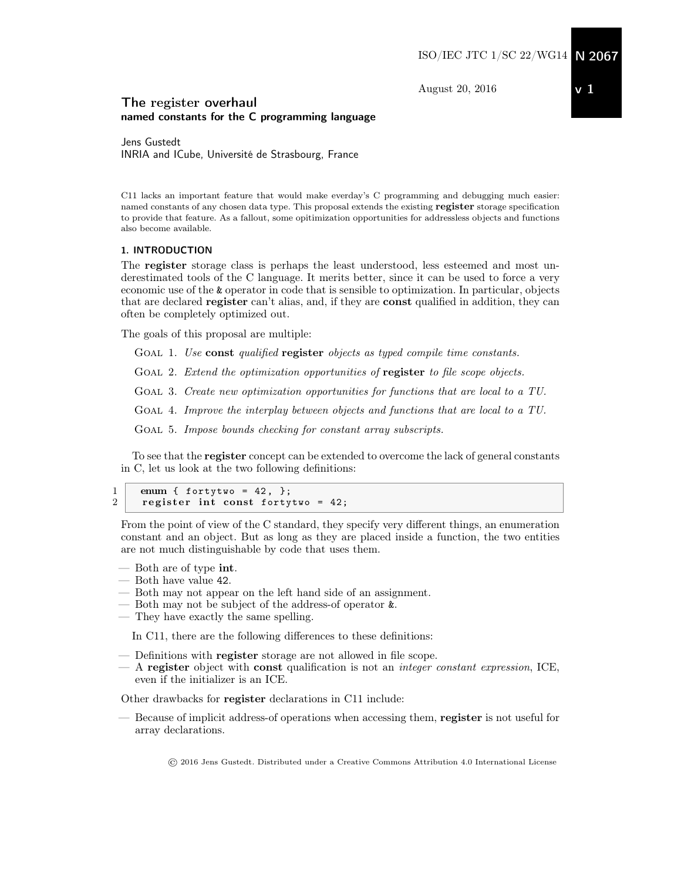August 20, 2016

# <span id="page-0-0"></span>The register overhaul named constants for the C programming language

Jens Gustedt INRIA and ICube, Université de Strasbourg, France

C11 lacks an important feature that would make everday's C programming and debugging much easier: named constants of any chosen data type. This proposal extends the existing register storage specification to provide that feature. As a fallout, some opitimization opportunities for addressless objects and functions also become available.

# 1. INTRODUCTION

The register storage class is perhaps the least understood, less esteemed and most underestimated tools of the C language. It merits better, since it can be used to force a very economic use of the & operator in code that is sensible to optimization. In particular, objects that are declared register can't alias, and, if they are const qualified in addition, they can often be completely optimized out.

The goals of this proposal are multiple:

GOAL 1. Use const qualified register objects as typed compile time constants.

GOAL 2. Extend the optimization opportunities of register to file scope objects.

GOAL 3. Create new optimization opportunities for functions that are local to a TU.

Goal 4. Improve the interplay between objects and functions that are local to a TU.

GOAL 5. Impose bounds checking for constant array subscripts.

To see that the register concept can be extended to overcome the lack of general constants in C, let us look at the two following definitions:

```
\begin{array}{c|c} 1 & \text{enum} \{ \text{ fortytwo = 42, } \}, \\ 2 & \text{revister int const} \end{array}register int const fortytwo = 42;
```
From the point of view of the C standard, they specify very different things, an enumeration constant and an object. But as long as they are placed inside a function, the two entities are not much distinguishable by code that uses them.

- Both are of type int.
- Both have value 42.
- Both may not appear on the left hand side of an assignment.
- Both may not be subject of the address-of operator &.
- They have exactly the same spelling.

In C11, there are the following differences to these definitions:

- Definitions with **register** storage are not allowed in file scope.
- $-$  A register object with const qualification is not an *integer constant expression*, ICE, even if the initializer is an ICE.

Other drawbacks for register declarations in C11 include:

— Because of implicit address-of operations when accessing them, register is not useful for array declarations.

© 2016 Jens Gustedt. Distributed under a Creative Commons Attribution 4.0 International License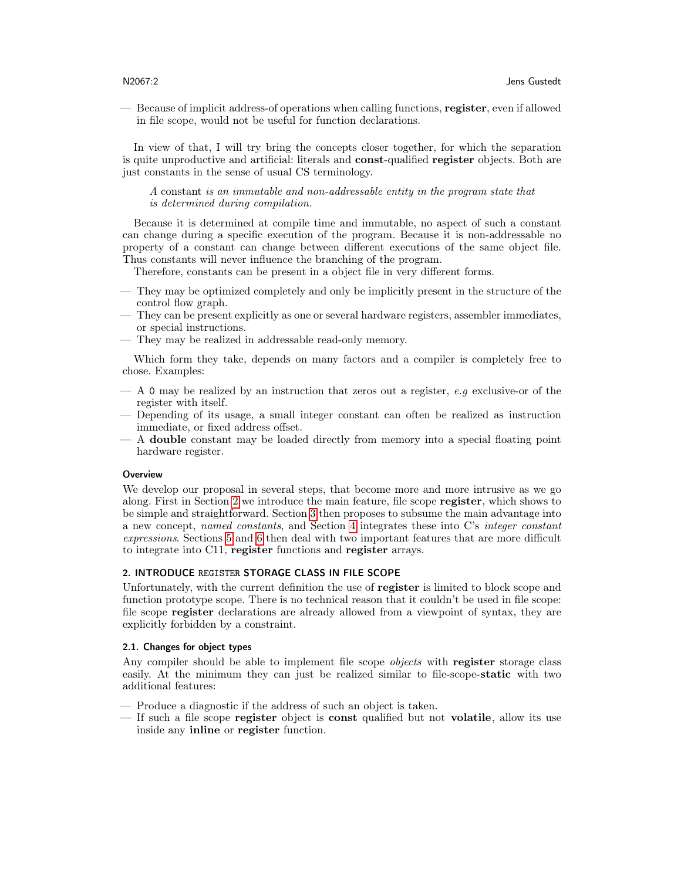— Because of implicit address-of operations when calling functions, register, even if allowed in file scope, would not be useful for function declarations.

In view of that, I will try bring the concepts closer together, for which the separation is quite unproductive and artificial: literals and const-qualified register objects. Both are just constants in the sense of usual CS terminology.

A constant is an immutable and non-addressable entity in the program state that is determined during compilation.

Because it is determined at compile time and immutable, no aspect of such a constant can change during a specific execution of the program. Because it is non-addressable no property of a constant can change between different executions of the same object file. Thus constants will never influence the branching of the program.

Therefore, constants can be present in a object file in very different forms.

- They may be optimized completely and only be implicitly present in the structure of the control flow graph.
- They can be present explicitly as one or several hardware registers, assembler immediates, or special instructions.
- They may be realized in addressable read-only memory.

Which form they take, depends on many factors and a compiler is completely free to chose. Examples:

- $-$  A 0 may be realized by an instruction that zeros out a register, e.g exclusive-or of the register with itself.
- Depending of its usage, a small integer constant can often be realized as instruction immediate, or fixed address offset.
- A double constant may be loaded directly from memory into a special floating point hardware register.

### **Overview**

We develop our proposal in several steps, that become more and more intrusive as we go along. First in Section [2](#page-1-0) we introduce the main feature, file scope register, which shows to be simple and straightforward. Section [3](#page-2-0) then proposes to subsume the main advantage into a new concept, named constants, and Section [4](#page-3-0) integrates these into C's integer constant expressions. Sections [5](#page-4-0) and [6](#page-6-0) then deal with two important features that are more difficult to integrate into C11, register functions and register arrays.

# <span id="page-1-0"></span>2. INTRODUCE REGISTER STORAGE CLASS IN FILE SCOPE

Unfortunately, with the current definition the use of register is limited to block scope and function prototype scope. There is no technical reason that it couldn't be used in file scope: file scope register declarations are already allowed from a viewpoint of syntax, they are explicitly forbidden by a constraint.

# 2.1. Changes for object types

Any compiler should be able to implement file scope *objects* with register storage class easily. At the minimum they can just be realized similar to file-scope-static with two additional features:

- Produce a diagnostic if the address of such an object is taken.
- If such a file scope register object is const qualified but not volatile, allow its use inside any inline or register function.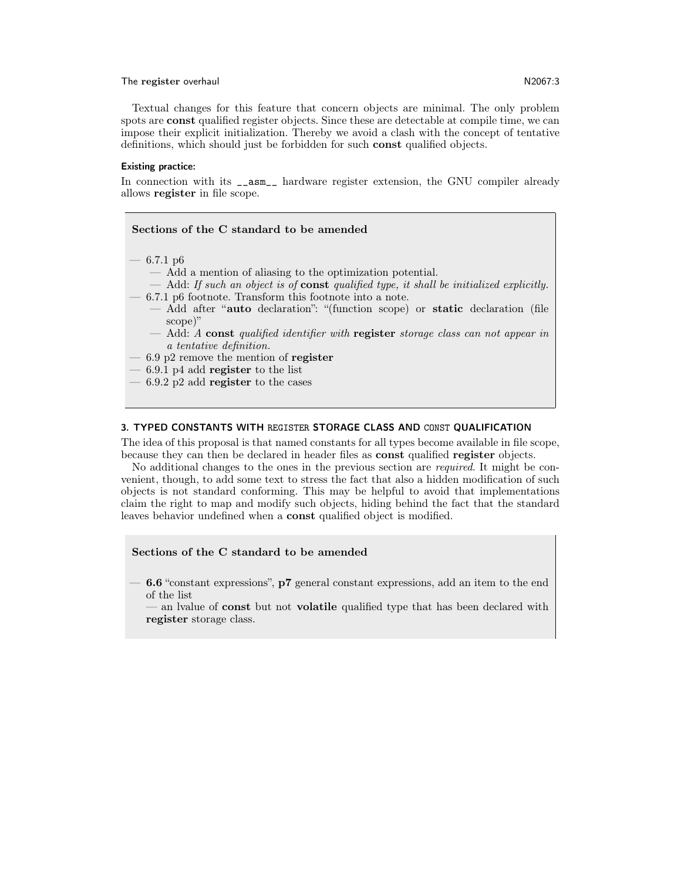#### The register overhaul N2067:3

Textual changes for this feature that concern objects are minimal. The only problem spots are **const** qualified register objects. Since these are detectable at compile time, we can impose their explicit initialization. Thereby we avoid a clash with the concept of tentative definitions, which should just be forbidden for such const qualified objects.

#### Existing practice:

In connection with its \_\_asm\_\_ hardware register extension, the GNU compiler already allows register in file scope.

# Sections of the C standard to be amended  $-6.7.1 \text{ p}6$ — Add a mention of aliasing to the optimization potential.  $-$  Add: If such an object is of const qualified type, it shall be initialized explicitly. — 6.7.1 p6 footnote. Transform this footnote into a note. — Add after "auto declaration": "(function scope) or static declaration (file scope)"  $-$  Add: A const qualified identifier with register storage class can not appear in a tentative definition. – 6.9 p2 remove the mention of register  $-6.9.1$  p4 add register to the list  $-6.9.2$  p2 add register to the cases

# <span id="page-2-0"></span>3. TYPED CONSTANTS WITH REGISTER STORAGE CLASS AND CONST QUALIFICATION

The idea of this proposal is that named constants for all types become available in file scope, because they can then be declared in header files as const qualified register objects.

No additional changes to the ones in the previous section are required. It might be convenient, though, to add some text to stress the fact that also a hidden modification of such objects is not standard conforming. This may be helpful to avoid that implementations claim the right to map and modify such objects, hiding behind the fact that the standard leaves behavior undefined when a const qualified object is modified.

# Sections of the C standard to be amended

— 6.6 "constant expressions", p7 general constant expressions, add an item to the end of the list

— an lyalue of **const** but not **volatile** qualified type that has been declared with register storage class.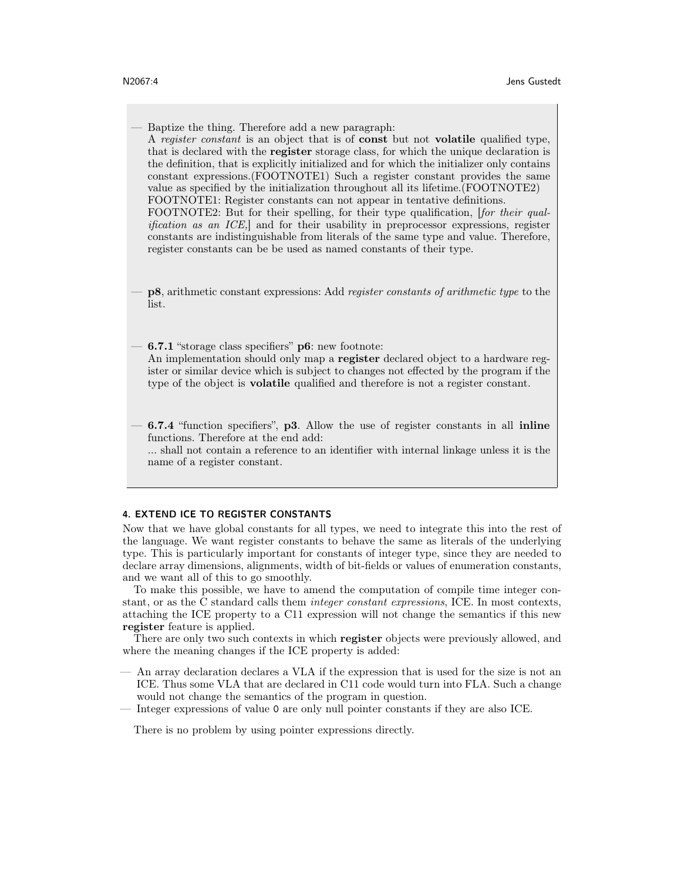— Baptize the thing. Therefore add a new paragraph: A register constant is an object that is of const but not volatile qualified type, that is declared with the register storage class, for which the unique declaration is the definition, that is explicitly initialized and for which the initializer only contains constant expressions.(FOOTNOTE1) Such a register constant provides the same value as specified by the initialization throughout all its lifetime.(FOOTNOTE2) FOOTNOTE1: Register constants can not appear in tentative definitions. FOOTNOTE2: But for their spelling, for their type qualification, [for their qualification as an ICE,] and for their usability in preprocessor expressions, register constants are indistinguishable from literals of the same type and value. Therefore, register constants can be be used as named constants of their type.

— p8, arithmetic constant expressions: Add register constants of arithmetic type to the list.

— 6.7.1 "storage class specifiers" p6: new footnote: An implementation should only map a register declared object to a hardware register or similar device which is subject to changes not effected by the program if the type of the object is volatile qualified and therefore is not a register constant.

— 6.7.4 "function specifiers", p3. Allow the use of register constants in all inline functions. Therefore at the end add:

... shall not contain a reference to an identifier with internal linkage unless it is the name of a register constant.

# <span id="page-3-0"></span>4. EXTEND ICE TO REGISTER CONSTANTS

Now that we have global constants for all types, we need to integrate this into the rest of the language. We want register constants to behave the same as literals of the underlying type. This is particularly important for constants of integer type, since they are needed to declare array dimensions, alignments, width of bit-fields or values of enumeration constants, and we want all of this to go smoothly.

To make this possible, we have to amend the computation of compile time integer constant, or as the C standard calls them integer constant expressions, ICE. In most contexts, attaching the ICE property to a C11 expression will not change the semantics if this new register feature is applied.

There are only two such contexts in which register objects were previously allowed, and where the meaning changes if the ICE property is added:

- An array declaration declares a VLA if the expression that is used for the size is not an ICE. Thus some VLA that are declared in C11 code would turn into FLA. Such a change would not change the semantics of the program in question.
- Integer expressions of value 0 are only null pointer constants if they are also ICE.

There is no problem by using pointer expressions directly.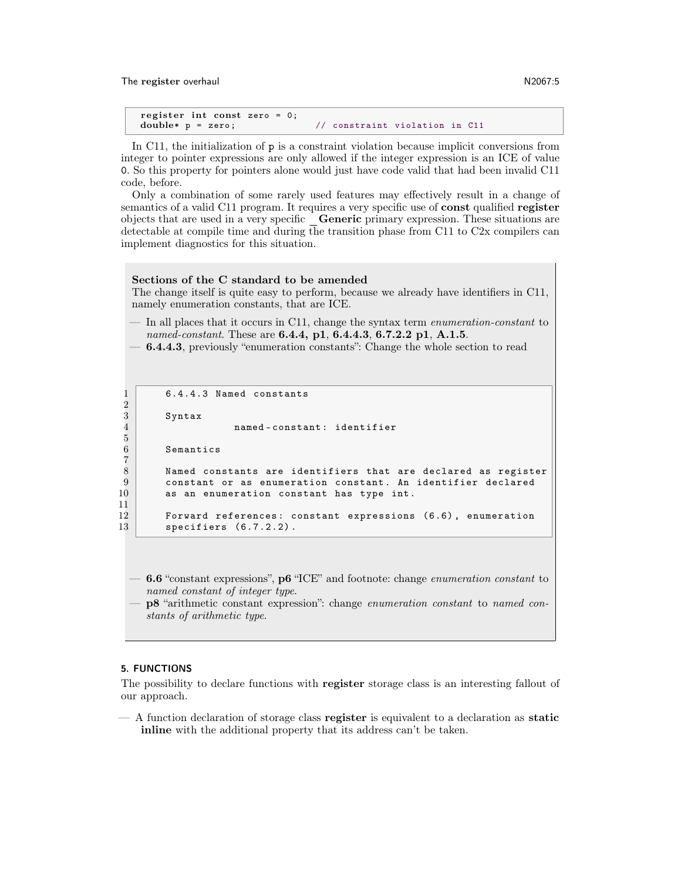The register overhaul N2067:5

```
register int const zero = 0;
double* p = zero; \frac{1}{2} constraint violation in C11
```
In C11, the initialization of  $p$  is a constraint violation because implicit conversions from integer to pointer expressions are only allowed if the integer expression is an ICE of value 0. So this property for pointers alone would just have code valid that had been invalid C11 code, before.

Only a combination of some rarely used features may effectively result in a change of semantics of a valid C11 program. It requires a very specific use of const qualified register objects that are used in a very specific \_Generic primary expression. These situations are detectable at compile time and during the transition phase from C11 to C2x compilers can implement diagnostics for this situation.

#### Sections of the C standard to be amended

The change itself is quite easy to perform, because we already have identifiers in C11, namely enumeration constants, that are ICE.

— In all places that it occurs in C11, change the syntax term enumeration-constant to named-constant. These are **6.4.4, p1, 6.4.4.3, 6.7.2.2 p1, A.1.5**.

 $-6.4.4.3$ , previously "enumeration constants": Change the whole section to read

```
1 6.4.4.3 Named constants
 2
           Syntax
                             named-constant: identifier
 5
           Semantics
 7
 8 Named constants are identifiers that are declared as register<br>9 constant or as enumeration constant. An identifier declared
9 \n\begin{array}{r}\n9 \n\end{array} constant or as enumeration constant. An identifier declared 10
           as an enumeration constant has type int.
\begin{array}{c} 11 \\ 12 \end{array}
```
12 Forward references: constant expressions (6.6), enumeration<br>13 specifiers (6.7.2.2). specifiers  $(6.7.2.2)$ .

 $-6.6$  "constant expressions",  $p6$  "ICE" and footnote: change *enumeration constant* to named constant of integer type.

— p8 "arithmetic constant expression": change enumeration constant to named constants of arithmetic type.

### <span id="page-4-0"></span>5. FUNCTIONS

The possibility to declare functions with register storage class is an interesting fallout of our approach.

— A function declaration of storage class register is equivalent to a declaration as static inline with the additional property that its address can't be taken.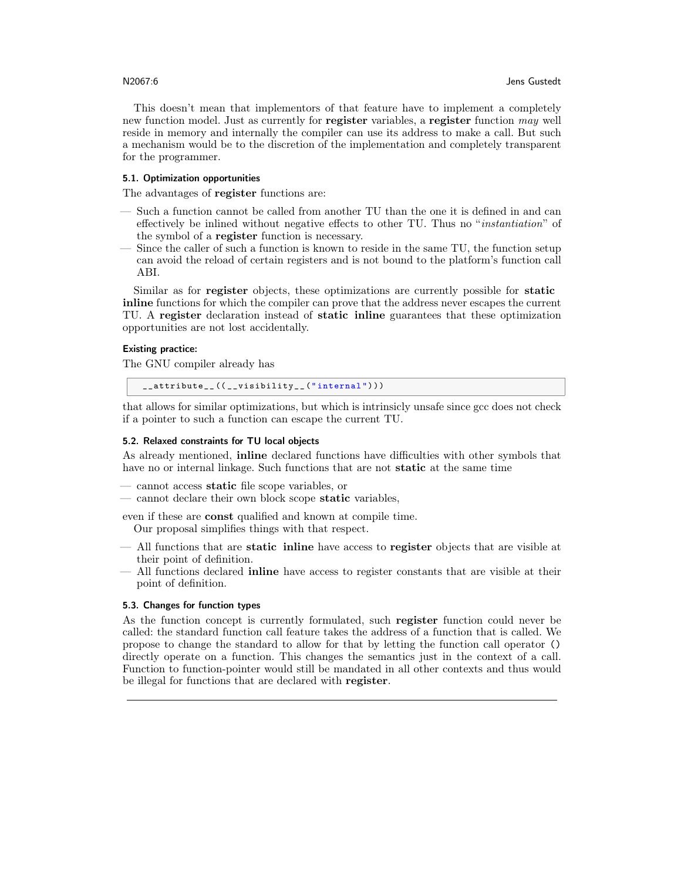This doesn't mean that implementors of that feature have to implement a completely new function model. Just as currently for register variables, a register function may well reside in memory and internally the compiler can use its address to make a call. But such a mechanism would be to the discretion of the implementation and completely transparent for the programmer.

#### 5.1. Optimization opportunities

The advantages of **register** functions are:

- Such a function cannot be called from another TU than the one it is defined in and can effectively be inlined without negative effects to other TU. Thus no "instantiation" of the symbol of a register function is necessary.
- Since the caller of such a function is known to reside in the same TU, the function setup can avoid the reload of certain registers and is not bound to the platform's function call ABI.

Similar as for register objects, these optimizations are currently possible for static inline functions for which the compiler can prove that the address never escapes the current TU. A register declaration instead of static inline guarantees that these optimization opportunities are not lost accidentally.

# Existing practice:

The GNU compiler already has

\_\_attribute\_\_ (( \_\_visibility\_\_ (" internal ") ))

that allows for similar optimizations, but which is intrinsicly unsafe since gcc does not check if a pointer to such a function can escape the current TU.

# 5.2. Relaxed constraints for TU local objects

As already mentioned, inline declared functions have difficulties with other symbols that have no or internal linkage. Such functions that are not **static** at the same time

- cannot access static file scope variables, or
- cannot declare their own block scope **static** variables,

even if these are const qualified and known at compile time.

- Our proposal simplifies things with that respect.
- All functions that are static inline have access to register objects that are visible at their point of definition.
- All functions declared inline have access to register constants that are visible at their point of definition.

# 5.3. Changes for function types

As the function concept is currently formulated, such register function could never be called: the standard function call feature takes the address of a function that is called. We propose to change the standard to allow for that by letting the function call operator () directly operate on a function. This changes the semantics just in the context of a call. Function to function-pointer would still be mandated in all other contexts and thus would be illegal for functions that are declared with **register**.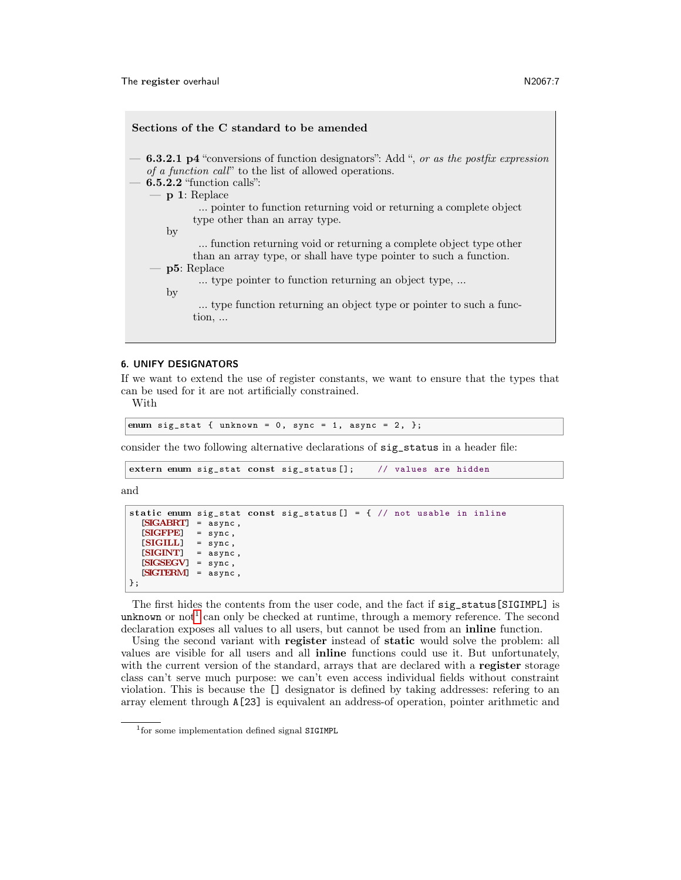| Sections of the C standard to be amended                                                                                                                                                    |
|---------------------------------------------------------------------------------------------------------------------------------------------------------------------------------------------|
| $-$ 6.3.2.1 p4 "conversions of function designators": Add ", or as the postfix expression<br><i>of a function call</i> " to the list of allowed operations.<br>$-6.5.2.2$ "function calls": |
| $-$ p 1: Replace                                                                                                                                                                            |
| pointer to function returning void or returning a complete object<br>type other than an array type.                                                                                         |
| $_{\rm by}$                                                                                                                                                                                 |
| function returning void or returning a complete object type other<br>than an array type, or shall have type pointer to such a function.                                                     |
| $ p5:$ Replace                                                                                                                                                                              |
| type pointer to function returning an object type,<br>by                                                                                                                                    |
| type function returning an object type or pointer to such a func-<br>tion,                                                                                                                  |
|                                                                                                                                                                                             |

#### <span id="page-6-0"></span>6. UNIFY DESIGNATORS

If we want to extend the use of register constants, we want to ensure that the types that can be used for it are not artificially constrained.

With

```
enum sig_stat { unknown = 0, sync = 1, async = 2, };
```
consider the two following alternative declarations of sig\_status in a header file:

```
extern enum sig_stat const sig_status []; // values are hidden
```
and

```
static enum sig_stat const sig_status [] = { // not usable in inline
  [SIGABRT] = async ,
  [SIGFPE] = sync,<br>[SIGILL] = sync,[SIGILL] = sync,<br>[SIGINT] = async
              = async,
  [SIGSEGV] = sync ,
  [SIGTERM] = async ,
};
```
The first hides the contents from the user code, and the fact if sig\_status[SIGIMPL] is unknown or not<sup>[1](#page-0-0)</sup> can only be checked at runtime, through a memory reference. The second declaration exposes all values to all users, but cannot be used from an inline function.

Using the second variant with register instead of static would solve the problem: all values are visible for all users and all inline functions could use it. But unfortunately, with the current version of the standard, arrays that are declared with a register storage class can't serve much purpose: we can't even access individual fields without constraint violation. This is because the [] designator is defined by taking addresses: refering to an array element through A[23] is equivalent an address-of operation, pointer arithmetic and

<sup>1</sup> for some implementation defined signal SIGIMPL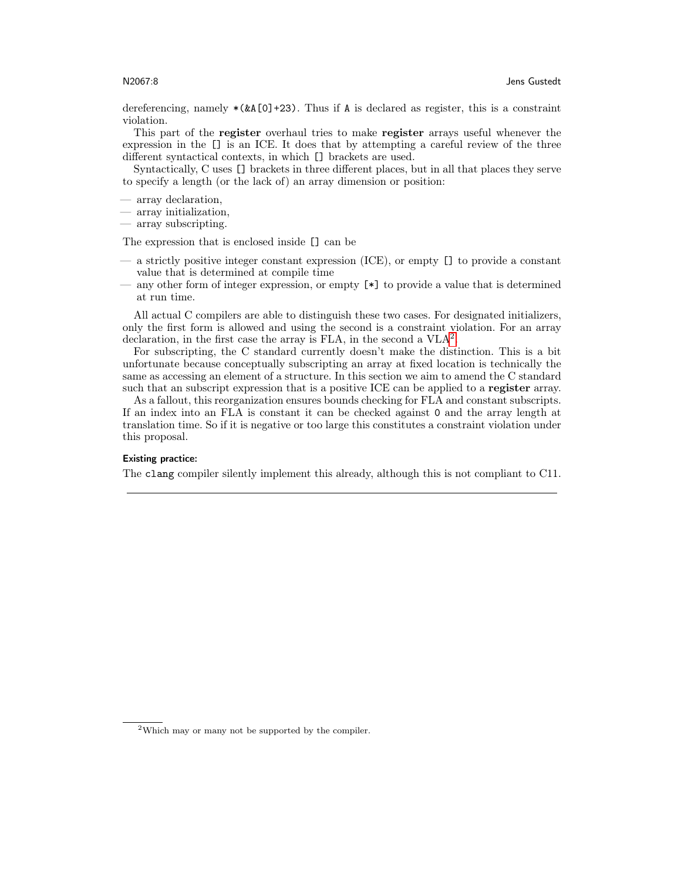dereferencing, namely  $*(\&A[0]+23)$ . Thus if A is declared as register, this is a constraint violation.

This part of the register overhaul tries to make register arrays useful whenever the expression in the [] is an ICE. It does that by attempting a careful review of the three different syntactical contexts, in which [] brackets are used.

Syntactically, C uses [] brackets in three different places, but in all that places they serve to specify a length (or the lack of) an array dimension or position:

- array declaration,
- array initialization,
- array subscripting.

The expression that is enclosed inside [] can be

- a strictly positive integer constant expression (ICE), or empty [] to provide a constant value that is determined at compile time
- any other form of integer expression, or empty [\*] to provide a value that is determined at run time.

All actual C compilers are able to distinguish these two cases. For designated initializers, only the first form is allowed and using the second is a constraint violation. For an array declaration, in the first case the array is FLA, in the second a  $VLA<sup>2</sup>$  $VLA<sup>2</sup>$  $VLA<sup>2</sup>$ .

For subscripting, the C standard currently doesn't make the distinction. This is a bit unfortunate because conceptually subscripting an array at fixed location is technically the same as accessing an element of a structure. In this section we aim to amend the C standard such that an subscript expression that is a positive ICE can be applied to a register array.

As a fallout, this reorganization ensures bounds checking for FLA and constant subscripts. If an index into an FLA is constant it can be checked against 0 and the array length at translation time. So if it is negative or too large this constitutes a constraint violation under this proposal.

# Existing practice:

The clang compiler silently implement this already, although this is not compliant to C11.

<sup>2</sup>Which may or many not be supported by the compiler.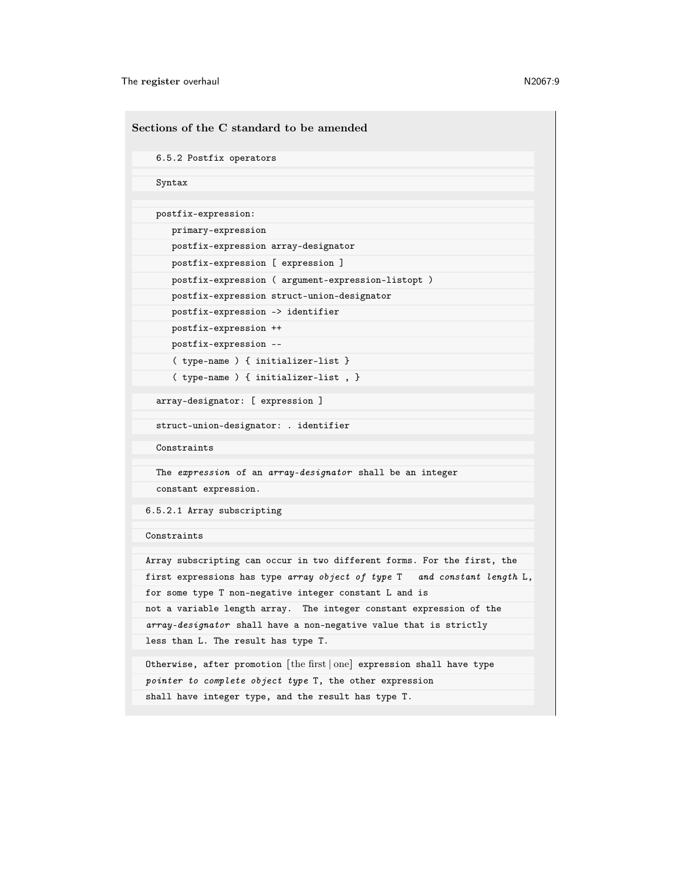The register overhaul N2067:9

Sections of the C standard to be amended 6.5.2 Postfix operators Syntax postfix-expression: primary-expression postfix-expression array-designator postfix-expression [ expression ] postfix-expression ( argument-expression-listopt ) postfix-expression struct-union-designator postfix-expression -> identifier postfix-expression ++ postfix-expression -- ( type-name ) { initializer-list } ( type-name ) { initializer-list , } array-designator: [ expression ] struct-union-designator: . identifier Constraints The expression of an array-designator shall be an integer constant expression. 6.5.2.1 Array subscripting Constraints Array subscripting can occur in two different forms. For the first, the first expressions has type array object of type T and constant length L, for some type T non-negative integer constant L and is not a variable length array. The integer constant expression of the array-designator shall have a non-negative value that is strictly less than L. The result has type T. Otherwise, after promotion [the first ∣ one] expression shall have type pointer to complete object type T, the other expression shall have integer type, and the result has type T.